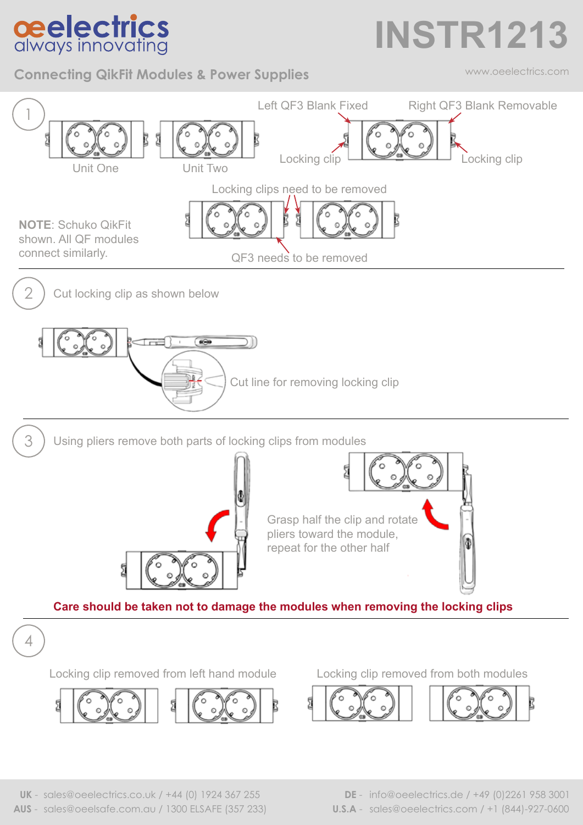## **ceelectrics**<br>always innovating

**Connecting QikFit Modules & Power Supplies**

## **INSTR1213**

www.oeelectrics.com